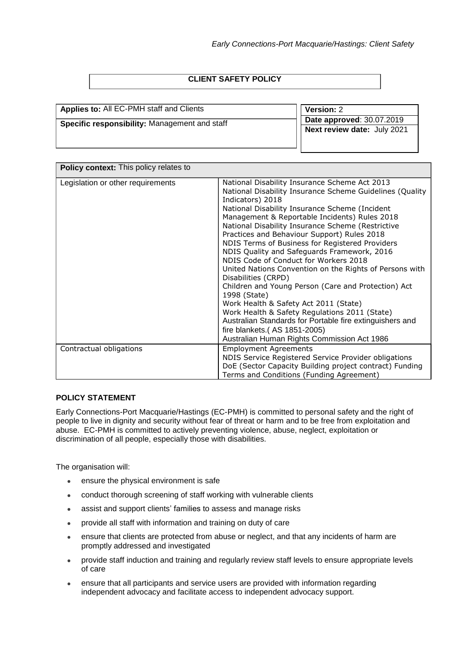# **CLIENT SAFETY POLICY**

| <b>Applies to: All EC-PMH staff and Clients</b> | Version: 2                                      |
|-------------------------------------------------|-------------------------------------------------|
| Specific responsibility: Management and staff   | Date approved: 30.07.2019                       |
|                                                 | <b>Next review date:</b> July $\overline{2021}$ |
|                                                 |                                                 |
|                                                 |                                                 |

| <b>Policy context:</b> This policy relates to |                                                                                                                                                                                                                                                                                                                                                                                                                                                                                                                                                                                                                                                                                                                                                                                                                                                                               |  |  |  |
|-----------------------------------------------|-------------------------------------------------------------------------------------------------------------------------------------------------------------------------------------------------------------------------------------------------------------------------------------------------------------------------------------------------------------------------------------------------------------------------------------------------------------------------------------------------------------------------------------------------------------------------------------------------------------------------------------------------------------------------------------------------------------------------------------------------------------------------------------------------------------------------------------------------------------------------------|--|--|--|
| Legislation or other requirements             | National Disability Insurance Scheme Act 2013<br>National Disability Insurance Scheme Guidelines (Quality<br>Indicators) 2018<br>National Disability Insurance Scheme (Incident<br>Management & Reportable Incidents) Rules 2018<br>National Disability Insurance Scheme (Restrictive<br>Practices and Behaviour Support) Rules 2018<br>NDIS Terms of Business for Registered Providers<br>NDIS Quality and Safeguards Framework, 2016<br>NDIS Code of Conduct for Workers 2018<br>United Nations Convention on the Rights of Persons with<br>Disabilities (CRPD)<br>Children and Young Person (Care and Protection) Act<br>1998 (State)<br>Work Health & Safety Act 2011 (State)<br>Work Health & Safety Regulations 2011 (State)<br>Australian Standards for Portable fire extinguishers and<br>fire blankets.(AS 1851-2005)<br>Australian Human Rights Commission Act 1986 |  |  |  |
| Contractual obligations                       | <b>Employment Agreements</b><br>NDIS Service Registered Service Provider obligations<br>DoE (Sector Capacity Building project contract) Funding<br>Terms and Conditions (Funding Agreement)                                                                                                                                                                                                                                                                                                                                                                                                                                                                                                                                                                                                                                                                                   |  |  |  |

## **POLICY STATEMENT**

Early Connections-Port Macquarie/Hastings (EC-PMH) is committed to personal safety and the right of people to live in dignity and security without fear of threat or harm and to be free from exploitation and abuse. EC-PMH is committed to actively preventing violence, abuse, neglect, exploitation or discrimination of all people, especially those with disabilities.

The organisation will:

- ensure the physical environment is safe
- conduct thorough screening of staff working with vulnerable clients
- assist and support clients' families to assess and manage risks
- provide all staff with information and training on duty of care
- ensure that clients are protected from abuse or neglect, and that any incidents of harm are promptly addressed and investigated
- provide staff induction and training and regularly review staff levels to ensure appropriate levels of care
- ensure that all participants and service users are provided with information regarding independent advocacy and facilitate access to independent advocacy support.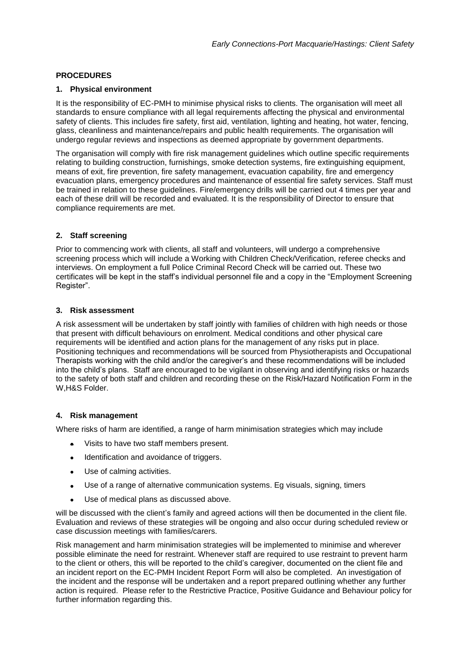# **PROCEDURES**

## **1. Physical environment**

It is the responsibility of EC-PMH to minimise physical risks to clients. The organisation will meet all standards to ensure compliance with all legal requirements affecting the physical and environmental safety of clients. This includes fire safety, first aid, ventilation, lighting and heating, hot water, fencing, glass, cleanliness and maintenance/repairs and public health requirements. The organisation will undergo regular reviews and inspections as deemed appropriate by government departments.

The organisation will comply with fire risk management guidelines which outline specific requirements relating to building construction, furnishings, smoke detection systems, fire extinguishing equipment, means of exit, fire prevention, fire safety management, evacuation capability, fire and emergency evacuation plans, emergency procedures and maintenance of essential fire safety services. Staff must be trained in relation to these guidelines. Fire/emergency drills will be carried out 4 times per year and each of these drill will be recorded and evaluated. It is the responsibility of Director to ensure that compliance requirements are met.

# **2. Staff screening**

Prior to commencing work with clients, all staff and volunteers, will undergo a comprehensive screening process which will include a Working with Children Check/Verification, referee checks and interviews. On employment a full Police Criminal Record Check will be carried out. These two certificates will be kept in the staff's individual personnel file and a copy in the "Employment Screening Register".

## **3. Risk assessment**

A risk assessment will be undertaken by staff jointly with families of children with high needs or those that present with difficult behaviours on enrolment. Medical conditions and other physical care requirements will be identified and action plans for the management of any risks put in place. Positioning techniques and recommendations will be sourced from Physiotherapists and Occupational Therapists working with the child and/or the caregiver's and these recommendations will be included into the child's plans. Staff are encouraged to be vigilant in observing and identifying risks or hazards to the safety of both staff and children and recording these on the Risk/Hazard Notification Form in the W,H&S Folder.

#### **4. Risk management**

Where risks of harm are identified, a range of harm minimisation strategies which may include

- Visits to have two staff members present.
- Identification and avoidance of triggers.
- Use of calming activities.
- Use of a range of alternative communication systems. Eg visuals, signing, timers
- Use of medical plans as discussed above.

will be discussed with the client's family and agreed actions will then be documented in the client file. Evaluation and reviews of these strategies will be ongoing and also occur during scheduled review or case discussion meetings with families/carers.

Risk management and harm minimisation strategies will be implemented to minimise and wherever possible eliminate the need for restraint. Whenever staff are required to use restraint to prevent harm to the client or others, this will be reported to the child's caregiver, documented on the client file and an incident report on the EC-PMH Incident Report Form will also be completed. An investigation of the incident and the response will be undertaken and a report prepared outlining whether any further action is required. Please refer to the Restrictive Practice, Positive Guidance and Behaviour policy for further information regarding this.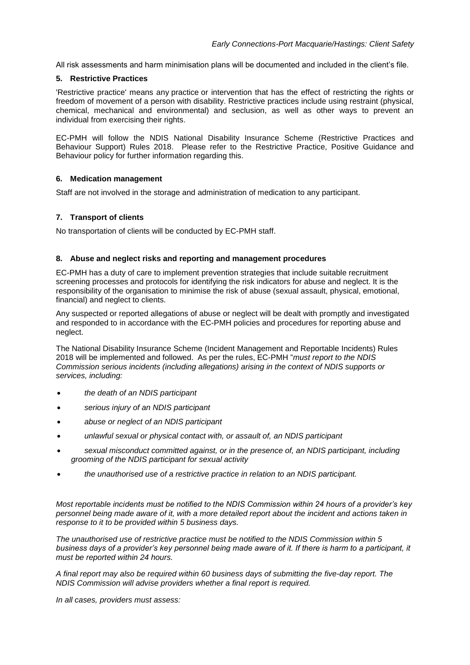All risk assessments and harm minimisation plans will be documented and included in the client's file.

## **5. Restrictive Practices**

'Restrictive practice' means any practice or intervention that has the effect of restricting the rights or freedom of movement of a person with disability. Restrictive practices include using restraint (physical, chemical, mechanical and environmental) and seclusion, as well as other ways to prevent an individual from exercising their rights.

EC-PMH will follow the NDIS National Disability Insurance Scheme (Restrictive Practices and Behaviour Support) Rules 2018. Please refer to the Restrictive Practice, Positive Guidance and Behaviour policy for further information regarding this.

## **6. Medication management**

Staff are not involved in the storage and administration of medication to any participant.

# **7. Transport of clients**

No transportation of clients will be conducted by EC-PMH staff.

## **8. Abuse and neglect risks and reporting and management procedures**

EC-PMH has a duty of care to implement prevention strategies that include suitable recruitment screening processes and protocols for identifying the risk indicators for abuse and neglect. It is the responsibility of the organisation to minimise the risk of abuse (sexual assault, physical, emotional, financial) and neglect to clients.

Any suspected or reported allegations of abuse or neglect will be dealt with promptly and investigated and responded to in accordance with the EC-PMH policies and procedures for reporting abuse and neglect.

The National Disability Insurance Scheme (Incident Management and Reportable Incidents) Rules 2018 will be implemented and followed. As per the rules, EC-PMH "*must report to the NDIS Commission serious incidents (including allegations) arising in the context of NDIS supports or services, including:*

- *the death of an NDIS participant*
- *serious injury of an NDIS participant*
- *abuse or neglect of an NDIS participant*
- *unlawful sexual or physical contact with, or assault of, an NDIS participant*
- *sexual misconduct committed against, or in the presence of, an NDIS participant, including grooming of the NDIS participant for sexual activity*
- *the unauthorised use of a restrictive practice in relation to an NDIS participant.*

*Most reportable incidents must be notified to the NDIS Commission within 24 hours of a provider's key personnel being made aware of it, with a more detailed report about the incident and actions taken in response to it to be provided within 5 business days.*

*The unauthorised use of restrictive practice must be notified to the NDIS Commission within 5 business days of a provider's key personnel being made aware of it. If there is harm to a participant, it must be reported within 24 hours.*

*A final report may also be required within 60 business days of submitting the five-day report. The NDIS Commission will advise providers whether a final report is required.*

*In all cases, providers must assess:*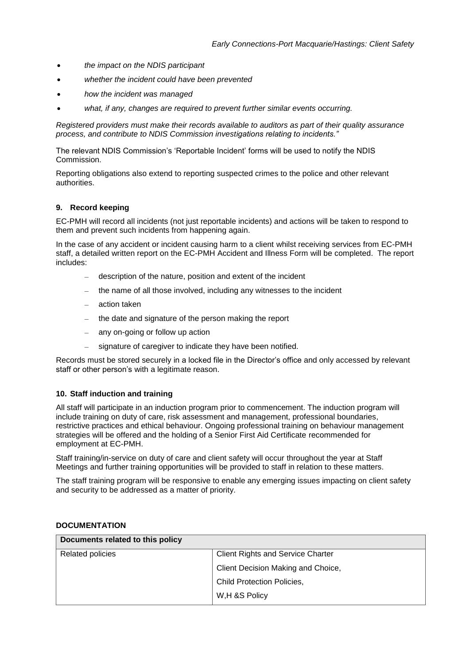- *the impact on the NDIS participant*
- *whether the incident could have been prevented*
- *how the incident was managed*
- *what, if any, changes are required to prevent further similar events occurring.*

*Registered providers must make their records available to auditors as part of their quality assurance process, and contribute to NDIS Commission investigations relating to incidents."*

The relevant NDIS Commission's 'Reportable Incident' forms will be used to notify the NDIS Commission.

Reporting obligations also extend to reporting suspected crimes to the police and other relevant authorities.

#### **9. Record keeping**

EC-PMH will record all incidents (not just reportable incidents) and actions will be taken to respond to them and prevent such incidents from happening again.

In the case of any accident or incident causing harm to a client whilst receiving services from EC-PMH staff, a detailed written report on the EC-PMH Accident and Illness Form will be completed. The report includes:

- description of the nature, position and extent of the incident
- the name of all those involved, including any witnesses to the incident
- $-$  action taken
- the date and signature of the person making the report
- $-$  any on-going or follow up action
- signature of caregiver to indicate they have been notified.

Records must be stored securely in a locked file in the Director's office and only accessed by relevant staff or other person's with a legitimate reason.

#### **10. Staff induction and training**

All staff will participate in an induction program prior to commencement. The induction program will include training on duty of care, risk assessment and management, professional boundaries, restrictive practices and ethical behaviour. Ongoing professional training on behaviour management strategies will be offered and the holding of a Senior First Aid Certificate recommended for employment at EC-PMH.

Staff training/in-service on duty of care and client safety will occur throughout the year at Staff Meetings and further training opportunities will be provided to staff in relation to these matters.

The staff training program will be responsive to enable any emerging issues impacting on client safety and security to be addressed as a matter of priority.

#### **DOCUMENTATION**

| Documents related to this policy |                                          |  |  |
|----------------------------------|------------------------------------------|--|--|
| <b>Related policies</b>          | <b>Client Rights and Service Charter</b> |  |  |
|                                  | Client Decision Making and Choice,       |  |  |
|                                  | Child Protection Policies,               |  |  |
|                                  | W,H &S Policy                            |  |  |
|                                  |                                          |  |  |